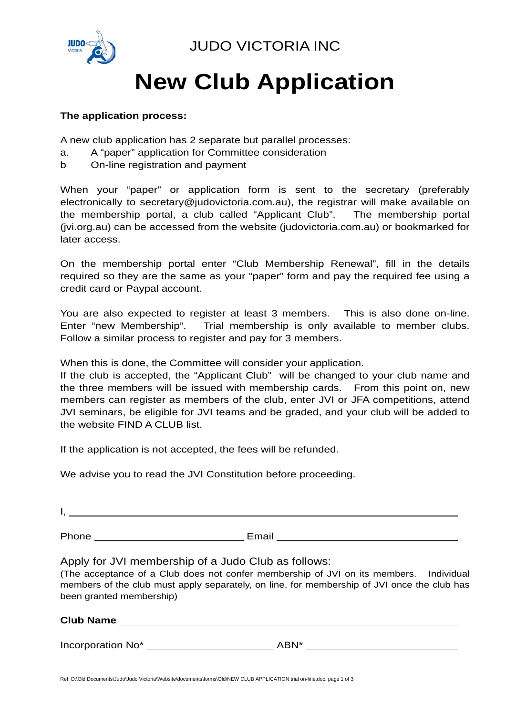

JUDO VICTORIA INC

## **New Club Application**

## **The application process:**

A new club application has 2 separate but parallel processes:

- a. A "paper" application for Committee consideration
- b On-line registration and payment

When your "paper" or application form is sent to the secretary (preferably electronically to secretary@judovictoria.com.au), the registrar will make available on the membership portal, a club called "Applicant Club". The membership portal (jvi.org.au) can be accessed from the website (judovictoria.com.au) or bookmarked for later access.

On the membership portal enter "Club Membership Renewal", fill in the details required so they are the same as your "paper" form and pay the required fee using a credit card or Paypal account.

You are also expected to register at least 3 members. This is also done on-line. Enter "new Membership". Trial membership is only available to member clubs. Follow a similar process to register and pay for 3 members.

When this is done, the Committee will consider your application.

If the club is accepted, the "Applicant Club" will be changed to your club name and the three members will be issued with membership cards. From this point on, new members can register as members of the club, enter JVI or JFA competitions, attend JVI seminars, be eligible for JVI teams and be graded, and your club will be added to the website FIND A CLUB list.

If the application is not accepted, the fees will be refunded.

We advise you to read the JVI Constitution before proceeding.

Phone **Email** 

Apply for JVI membership of a Judo Club as follows:

(The acceptance of a Club does not confer membership of JVI on its members. Individual members of the club must apply separately, on line, for membership of JVI once the club has been granted membership)

**Club Name** 

Incorporation No<sup>\*</sup> ABN<sup>\*</sup>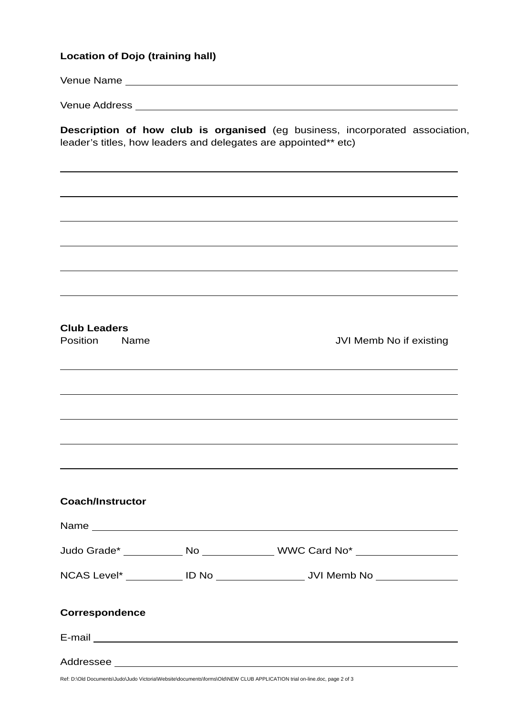## **Location of Dojo (training hall)**

Venue Name

 $\overline{a}$ 

 $\overline{a}$ 

Venue Address

**Description of how club is organised** (eg business, incorporated association, leader's titles, how leaders and delegates are appointed\*\* etc)

| <b>Club Leaders</b><br>Position Name |                                                                                                                                                                                                                                | JVI Memb No if existing                                                                                                                                                                                                       |
|--------------------------------------|--------------------------------------------------------------------------------------------------------------------------------------------------------------------------------------------------------------------------------|-------------------------------------------------------------------------------------------------------------------------------------------------------------------------------------------------------------------------------|
|                                      |                                                                                                                                                                                                                                | ,我们也不会有什么。""我们的人,我们也不会有什么?""我们的人,我们也不会有什么?""我们的人,我们也不会有什么?""我们的人,我们也不会有什么?""我们的人                                                                                                                                              |
|                                      |                                                                                                                                                                                                                                |                                                                                                                                                                                                                               |
|                                      |                                                                                                                                                                                                                                |                                                                                                                                                                                                                               |
|                                      |                                                                                                                                                                                                                                |                                                                                                                                                                                                                               |
| <b>Coach/Instructor</b>              |                                                                                                                                                                                                                                |                                                                                                                                                                                                                               |
|                                      |                                                                                                                                                                                                                                | Name Name and the state of the state of the state of the state of the state of the state of the state of the state of the state of the state of the state of the state of the state of the state of the state of the state of |
|                                      |                                                                                                                                                                                                                                | Judo Grade* ______________No _______________WWC Card No* _______________________                                                                                                                                              |
|                                      |                                                                                                                                                                                                                                |                                                                                                                                                                                                                               |
| <b>Correspondence</b>                |                                                                                                                                                                                                                                |                                                                                                                                                                                                                               |
|                                      | E-mail entertainment and the mail of the mail of the mail of the mail of the mail of the mail of the mail of the mail of the mail of the mail of the mail of the mail of the mail of the mail of the mail of the mail of the m |                                                                                                                                                                                                                               |
|                                      |                                                                                                                                                                                                                                |                                                                                                                                                                                                                               |

Ref: D:\Old Documents\Judo\Judo Victoria\Website\documents\forms\Old\NEW CLUB APPLICATION trial on-line.doc, page 2 of 3